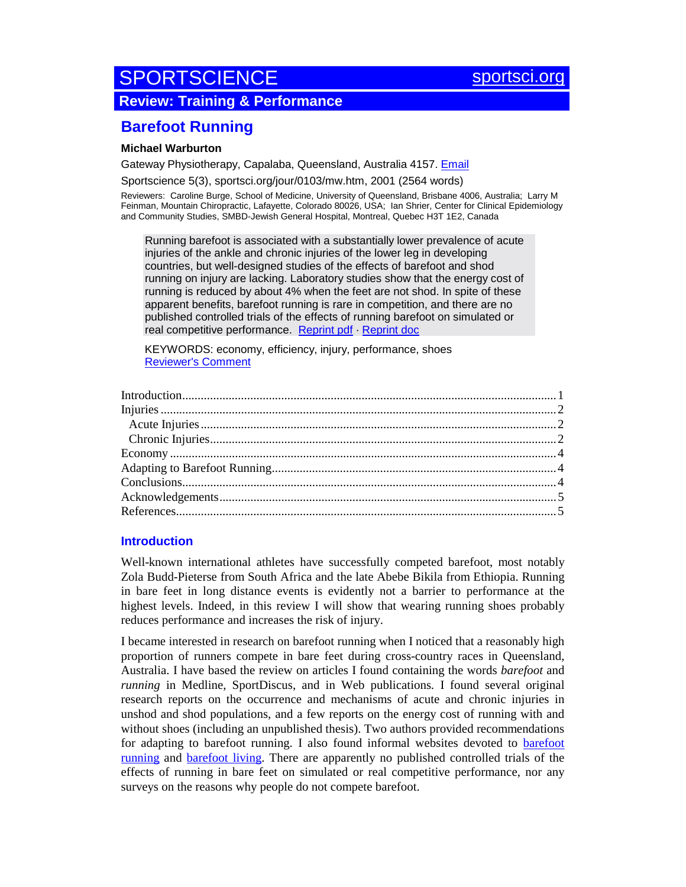# **Review: Training & Performance**

# **Barefoot Running**

### **Michael Warburton**

Gateway Physiotherapy, Capalaba, Queensland, Australia 4157. [Email](mailto:warburtn@powerup.com.au)

Sportscience 5(3), sportsci.org/jour/0103/mw.htm, 2001 (2564 words)

Reviewers: Caroline Burge, School of Medicine, University of Queensland, Brisbane 4006, Australia; Larry M Feinman, Mountain Chiropractic, Lafayette, Colorado 80026, USA; Ian Shrier, Center for Clinical Epidemiology and Community Studies, SMBD-Jewish General Hospital, Montreal, Quebec H3T 1E2, Canada

Running barefoot is associated with a substantially lower prevalence of acute injuries of the ankle and chronic injuries of the lower leg in developing countries, but well-designed studies of the effects of barefoot and shod running on injury are lacking. Laboratory studies show that the energy cost of running is reduced by about 4% when the feet are not shod. In spite of these apparent benefits, barefoot running is rare in competition, and there are no published controlled trials of the effects of running barefoot on simulated or real competitive performance. Reprint pdf · Reprint doc

KEYWORDS: economy, efficiency, injury, performance, shoes Reviewer's Comment

### **Introduction**

Well-known international athletes have successfully competed barefoot, most notably Zola Budd-Pieterse from South Africa and the late Abebe Bikila from Ethiopia. Running in bare feet in long distance events is evidently not a barrier to performance at the highest levels. Indeed, in this review I will show that wearing running shoes probably reduces performance and increases the risk of injury.

I became interested in research on barefoot running when I noticed that a reasonably high proportion of runners compete in bare feet during cross-country races in Queensland, Australia. I have based the review on articles I found containing the words *barefoot* and *running* in Medline, SportDiscus, and in Web publications*.* I found several original research reports on the occurrence and mechanisms of acute and chronic injuries in unshod and shod populations, and a few reports on the energy cost of running with and without shoes (including an unpublished thesis). Two authors provided recommendations for adapting to barefoot running. I also found informal websites devoted to [barefoot](http://www.runningbarefoot.com/)  [running](http://www.runningbarefoot.com/) and **barefoot** living. There are apparently no published controlled trials of the effects of running in bare feet on simulated or real competitive performance, nor any surveys on the reasons why people do not compete barefoot.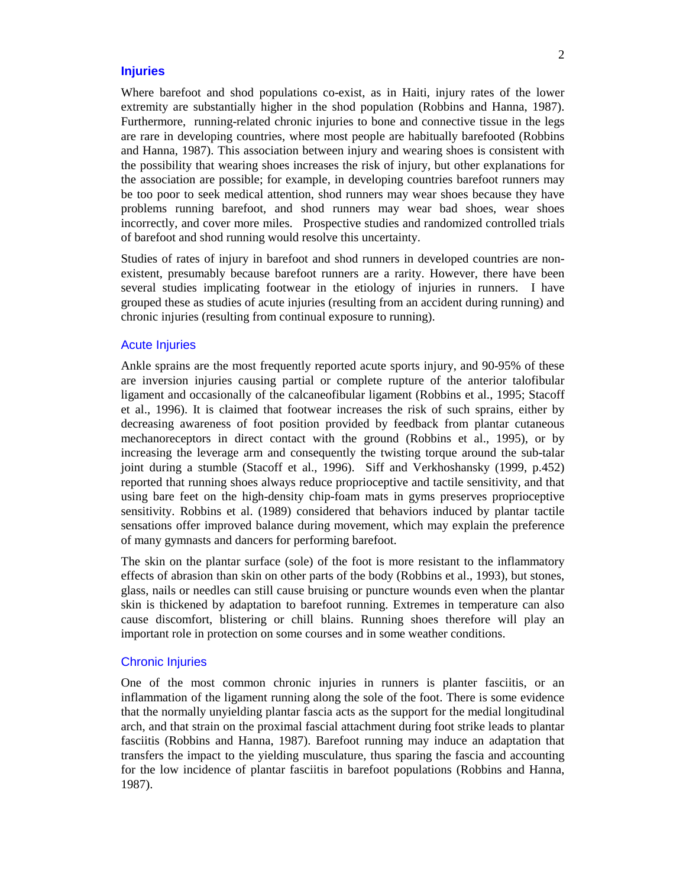### <span id="page-1-0"></span>**Injuries**

Where barefoot and shod populations co-exist, as in Haiti, injury rates of the lower extremity are substantially higher in the shod population (Robbins and Hanna, 1987). Furthermore, running-related chronic injuries to bone and connective tissue in the legs are rare in developing countries, where most people are habitually barefooted (Robbins and Hanna, 1987). This association between injury and wearing shoes is consistent with the possibility that wearing shoes increases the risk of injury, but other explanations for the association are possible; for example, in developing countries barefoot runners may be too poor to seek medical attention, shod runners may wear shoes because they have problems running barefoot, and shod runners may wear bad shoes, wear shoes incorrectly, and cover more miles. Prospective studies and randomized controlled trials of barefoot and shod running would resolve this uncertainty.

Studies of rates of injury in barefoot and shod runners in developed countries are nonexistent, presumably because barefoot runners are a rarity. However, there have been several studies implicating footwear in the etiology of injuries in runners. I have grouped these as studies of acute injuries (resulting from an accident during running) and chronic injuries (resulting from continual exposure to running).

## Acute Injuries

Ankle sprains are the most frequently reported acute sports injury, and 90-95% of these are inversion injuries causing partial or complete rupture of the anterior talofibular ligament and occasionally of the calcaneofibular ligament (Robbins et al., 1995; Stacoff et al., 1996). It is claimed that footwear increases the risk of such sprains, either by decreasing awareness of foot position provided by feedback from plantar cutaneous mechanoreceptors in direct contact with the ground (Robbins et al., 1995), or by increasing the leverage arm and consequently the twisting torque around the sub-talar joint during a stumble (Stacoff et al., 1996). Siff and Verkhoshansky (1999, p.452) reported that running shoes always reduce proprioceptive and tactile sensitivity, and that using bare feet on the high-density chip-foam mats in gyms preserves proprioceptive sensitivity. Robbins et al. (1989) considered that behaviors induced by plantar tactile sensations offer improved balance during movement, which may explain the preference of many gymnasts and dancers for performing barefoot.

The skin on the plantar surface (sole) of the foot is more resistant to the inflammatory effects of abrasion than skin on other parts of the body (Robbins et al., 1993), but stones, glass, nails or needles can still cause bruising or puncture wounds even when the plantar skin is thickened by adaptation to barefoot running. Extremes in temperature can also cause discomfort, blistering or chill blains. Running shoes therefore will play an important role in protection on some courses and in some weather conditions.

#### Chronic Injuries

One of the most common chronic injuries in runners is planter fasciitis, or an inflammation of the ligament running along the sole of the foot. There is some evidence that the normally unyielding plantar fascia acts as the support for the medial longitudinal arch, and that strain on the proximal fascial attachment during foot strike leads to plantar fasciitis (Robbins and Hanna, 1987). Barefoot running may induce an adaptation that transfers the impact to the yielding musculature, thus sparing the fascia and accounting for the low incidence of plantar fasciitis in barefoot populations (Robbins and Hanna, 1987).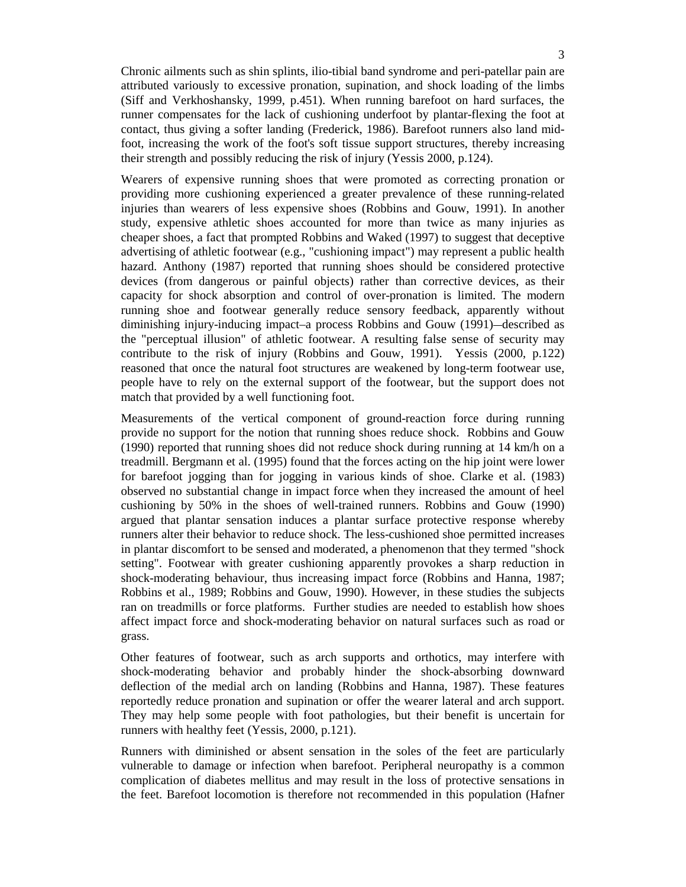Wearers of expensive running shoes that were promoted as correcting pronation or providing more cushioning experienced a greater prevalence of these running-related injuries than wearers of less expensive shoes (Robbins and Gouw, 1991). In another study, expensive athletic shoes accounted for more than twice as many injuries as cheaper shoes, a fact that prompted Robbins and Waked (1997) to suggest that deceptive advertising of athletic footwear (e.g., "cushioning impact") may represent a public health hazard. Anthony (1987) reported that running shoes should be considered protective devices (from dangerous or painful objects) rather than corrective devices, as their capacity for shock absorption and control of over-pronation is limited. The modern running shoe and footwear generally reduce sensory feedback, apparently without diminishing injury-inducing impact–a process Robbins and Gouw (1991)—described as the "perceptual illusion" of athletic footwear. A resulting false sense of security may contribute to the risk of injury (Robbins and Gouw, 1991). Yessis (2000, p.122) reasoned that once the natural foot structures are weakened by long-term footwear use, people have to rely on the external support of the footwear, but the support does not match that provided by a well functioning foot.

Measurements of the vertical component of ground-reaction force during running provide no support for the notion that running shoes reduce shock. Robbins and Gouw (1990) reported that running shoes did not reduce shock during running at 14 km/h on a treadmill. Bergmann et al. (1995) found that the forces acting on the hip joint were lower for barefoot jogging than for jogging in various kinds of shoe. Clarke et al. (1983) observed no substantial change in impact force when they increased the amount of heel cushioning by 50% in the shoes of well-trained runners. Robbins and Gouw (1990) argued that plantar sensation induces a plantar surface protective response whereby runners alter their behavior to reduce shock. The less-cushioned shoe permitted increases in plantar discomfort to be sensed and moderated, a phenomenon that they termed "shock setting". Footwear with greater cushioning apparently provokes a sharp reduction in shock-moderating behaviour, thus increasing impact force (Robbins and Hanna, 1987; Robbins et al., 1989; Robbins and Gouw, 1990). However, in these studies the subjects ran on treadmills or force platforms. Further studies are needed to establish how shoes affect impact force and shock-moderating behavior on natural surfaces such as road or grass.

Other features of footwear, such as arch supports and orthotics, may interfere with shock-moderating behavior and probably hinder the shock-absorbing downward deflection of the medial arch on landing (Robbins and Hanna, 1987). These features reportedly reduce pronation and supination or offer the wearer lateral and arch support. They may help some people with foot pathologies, but their benefit is uncertain for runners with healthy feet (Yessis, 2000, p.121).

Runners with diminished or absent sensation in the soles of the feet are particularly vulnerable to damage or infection when barefoot. Peripheral neuropathy is a common complication of diabetes mellitus and may result in the loss of protective sensations in the feet. Barefoot locomotion is therefore not recommended in this population (Hafner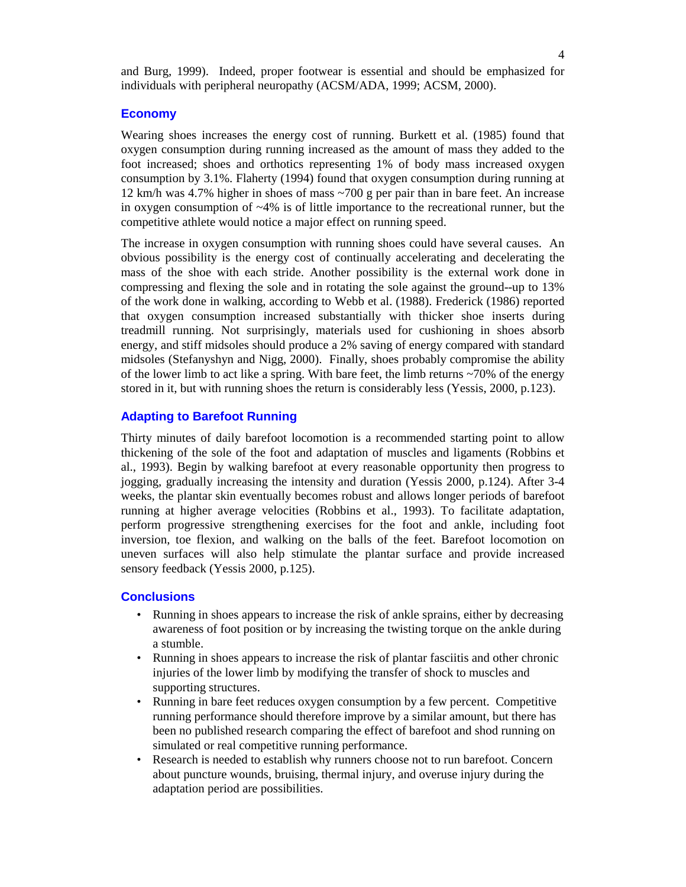# <span id="page-3-0"></span>**Economy**

Wearing shoes increases the energy cost of running. Burkett et al. (1985) found that oxygen consumption during running increased as the amount of mass they added to the foot increased; shoes and orthotics representing 1% of body mass increased oxygen consumption by 3.1%. Flaherty (1994) found that oxygen consumption during running at 12 km/h was 4.7% higher in shoes of mass ~700 g per pair than in bare feet. An increase in oxygen consumption of ~4% is of little importance to the recreational runner, but the competitive athlete would notice a major effect on running speed.

The increase in oxygen consumption with running shoes could have several causes. An obvious possibility is the energy cost of continually accelerating and decelerating the ma[ss of the shoe with e](http://sportsci.org/)ach stride. Another possibility is the external work done in compressing and flexing the sole and in rotating the sole against the ground--up to 13% of [the work done in walking, according to Webb et](http://sportsci.org/) al. (1988). Frederick (1986) reported tha[t oxygen consumption increased sub](http://sportsci.org/)stantially with thicker shoe inserts during tre[admill running. Not surpris](http://sportsci.org/)ingly, materials used for cushioning in shoes absorb energy, and stiff midsoles should produce a 2% saving of energy compared with standard midsoles (Stefanyshyn and Nigg, 2000). Finally, shoes probably compromise the ability of the lower limb to act like a spring. With bare feet, the limb returns  $\sim$ 70% of the energy stored in it, but with running shoes the return is considerably less (Yessis, 2000, p.123).

# **Adapting to Barefoot Running**

Thirty minutes of daily barefoot locomotion is a recommended starting point to allow thickening of the sole of the foot and adaptation of muscles and ligaments (Robbins et al., 1993). Begin by walking barefoot at every reasonable opportunity then progress to jogging, gradually increasing the intensity and duration (Yessis 2000, p.124). After 3-4 weeks, the plantar skin eventually becomes robust and allows longer periods of barefoot running at higher average velocities (Robbins et al., 1993). To facilitate adaptation, perform progressive strengthening exercises for the foot and ankle, including foot inversion, toe flexion, and walking on the balls of the feet. Barefoot locomotion on uneven surfaces will also help stimulate the plantar surface and provide increased sensory feedback (Yessis 2000, p.125).

## **Conclusions**

- Running in shoes appears to increase the risk of ankle sprains, either by decreasing awareness of foot position or by increasing the twisting torque on the ankle during a stumble.
- Running in shoes appears to increase the risk of plantar fasciitis and other chronic injuries of the lower limb by modifying the transfer of shock to muscles and supporting structures.
- Running in bare feet reduces oxygen consumption by a few percent. Competitive running performance should therefore improve by a similar amount, but there has been no published research comparing the effect of barefoot and shod running on simulated or real competitive running performance.
- Research is needed to establish why runners choose not to run barefoot. Concern about puncture wounds, bruising, thermal injury, and overuse injury during the adaptation period are possibilities.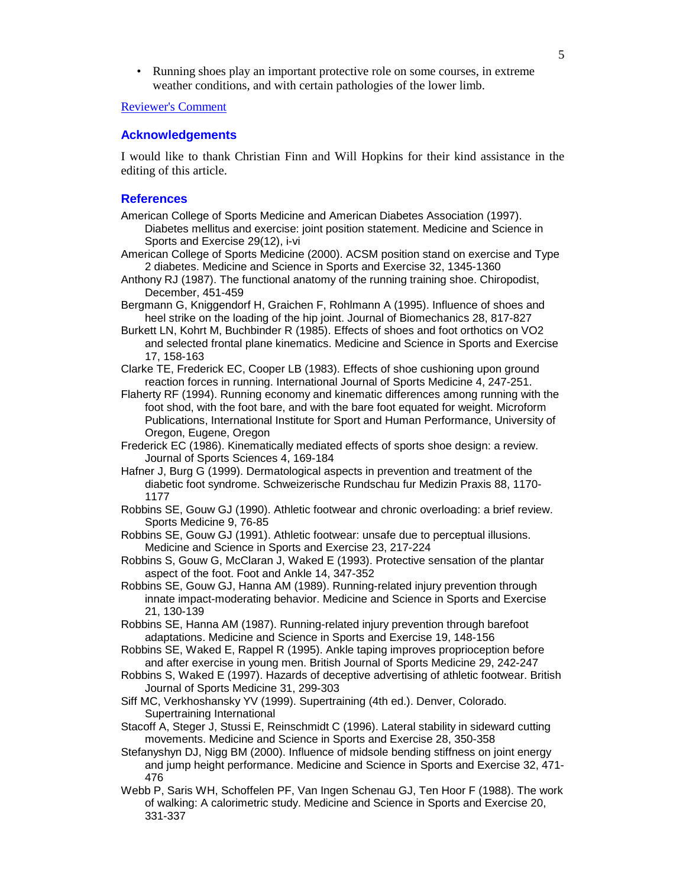<span id="page-4-0"></span>• Running shoes play an important protective role on some courses, in extreme weather conditions, and with certain pathologies of the lower limb.

### Reviewer's Comment

#### **Acknowledgements**

I would like to thank Christian Finn and Will Hopkins for their kind assistance in the editing of this article.

## **References**

- American College of Sports Medicine and American Diabetes Association (1997). Diabetes mellitus and exercise: joint position statement. Medicine and Science in Sports and Exercise 29(12), i-vi
- American College of Sports Medicine (2000). ACSM position stand on exercise and Type 2 diabetes. Medicine and Science in Sports and Exercise 32, 1345-1360
- Anthony RJ (1987). The functional anatomy of the running training shoe. Chiropodist, December, 451-459
- Bergmann G, Kniggendorf H, Graichen F, Rohlmann A (1995). Influence of shoes and heel strike on the loading of the hip joint. Journal of Biomechanics 28, 817-827
- Burkett LN, Kohrt M, Buchbinder R (1985). Effects of shoes and foot orthotics on VO2 and selected frontal plane kinematics. Medicine and Science in Sports and Exercise 17, 158-163
- Clarke TE, Frederick EC, Cooper LB (1983). Effects of shoe cushioning upon ground reaction forces in running. International Journal of Sports Medicine 4, 247-251.
- Flaherty RF (1994). Running economy and kinematic differences among running with the foot shod, with the foot bare, and with the bare foot equated for weight. Microform Publications, International Institute for Sport and Human Performance, University of Oregon, Eugene, Oregon
- Frederick EC (1986). Kinematically mediated effects of sports shoe design: a review. Journal of Sports Sciences 4, 169-184
- Hafner J, Burg G (1999). Dermatological aspects in prevention and treatment of the diabetic foot syndrome. Schweizerische Rundschau fur Medizin Praxis 88, 1170- 1177
- Robbins SE, Gouw GJ (1990). Athletic footwear and chronic overloading: a brief review. Sports Medicine 9, 76-85
- Robbins SE, Gouw GJ (1991). Athletic footwear: unsafe due to perceptual illusions. Medicine and Science in Sports and Exercise 23, 217-224
- Robbins S, Gouw G, McClaran J, Waked E (1993). Protective sensation of the plantar aspect of the foot. Foot and Ankle 14, 347-352
- Robbins SE, Gouw GJ, Hanna AM (1989). Running-related injury prevention through innate impact-moderating behavior. Medicine and Science in Sports and Exercise 21, 130-139
- Robbins SE, Hanna AM (1987). Running-related injury prevention through barefoot adaptations. Medicine and Science in Sports and Exercise 19, 148-156
- Robbins SE, Waked E, Rappel R (1995). Ankle taping improves proprioception before and after exercise in young men. British Journal of Sports Medicine 29, 242-247
- Robbins S, Waked E (1997). Hazards of deceptive advertising of athletic footwear. British Journal of Sports Medicine 31, 299-303
- Siff MC, Verkhoshansky YV (1999). Supertraining (4th ed.). Denver, Colorado. Supertraining International
- Stacoff A, Steger J, Stussi E, Reinschmidt C (1996). Lateral stability in sideward cutting movements. Medicine and Science in Sports and Exercise 28, 350-358
- Stefanyshyn DJ, Nigg BM (2000). Influence of midsole bending stiffness on joint energy and jump height performance. Medicine and Science in Sports and Exercise 32, 471- 476
- Webb P, Saris WH, Schoffelen PF, Van Ingen Schenau GJ, Ten Hoor F (1988). The work of walking: A calorimetric study. Medicine and Science in Sports and Exercise 20, 331-337